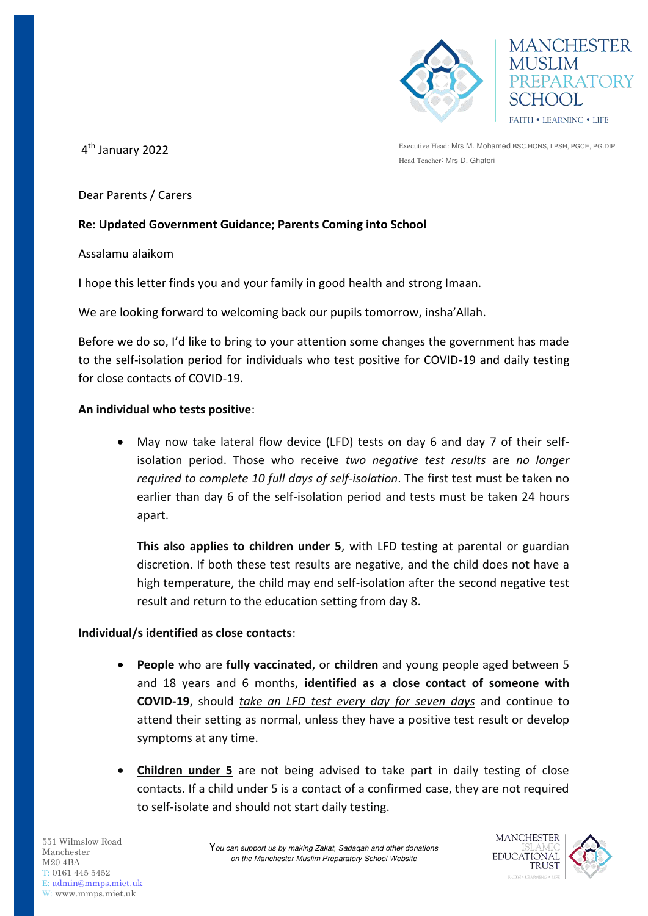

**MANCHESTER USLIM** REPARATORY FAITH . LEARNING . LIFE

4th January 2022

Executive Head: Mrs M. Mohamed BSC.HONS, LPSH, PGCE, PG.DIP Head Teacher: Mrs D. Ghafori

Dear Parents / Carers

## **Re: Updated Government Guidance; Parents Coming into School**

Assalamu alaikom

I hope this letter finds you and your family in good health and strong Imaan.

We are looking forward to welcoming back our pupils tomorrow, insha'Allah.

Before we do so, I'd like to bring to your attention some changes the government has made to the self-isolation period for individuals who test positive for COVID-19 and daily testing for close contacts of COVID-19.

## **An individual who tests positive**:

 May now take lateral flow device (LFD) tests on day 6 and day 7 of their selfisolation period. Those who receive *two negative test results* are *no longer required to complete 10 full days of self-isolation*. The first test must be taken no earlier than day 6 of the self-isolation period and tests must be taken 24 hours apart.

**This also applies to children under 5**, with LFD testing at parental or guardian discretion. If both these test results are negative, and the child does not have a high temperature, the child may end self-isolation after the second negative test result and return to the education setting from day 8.

## **Individual/s identified as close contacts**:

- **People** who are **fully vaccinated**, or **children** and young people aged between 5 and 18 years and 6 months, **identified as a close contact of someone with COVID-19**, should *take an LFD test every day for seven days* and continue to attend their setting as normal, unless they have a positive test result or develop symptoms at any time.
- **Children under 5** are not being advised to take part in daily testing of close contacts. If a child under 5 is a contact of a confirmed case, they are not required to self-isolate and should not start daily testing.

551 Wilmslow Road Manchester M20 4BA T: 0161 445 5452 E: [admin@mmps.miet.uk](mailto:admin@mmps.miet.uk) W: www.mmps.miet.uk

Y*ou can support us by making Zakat, Sadaqah and other donations on the Manchester Muslim Preparatory School Website* 

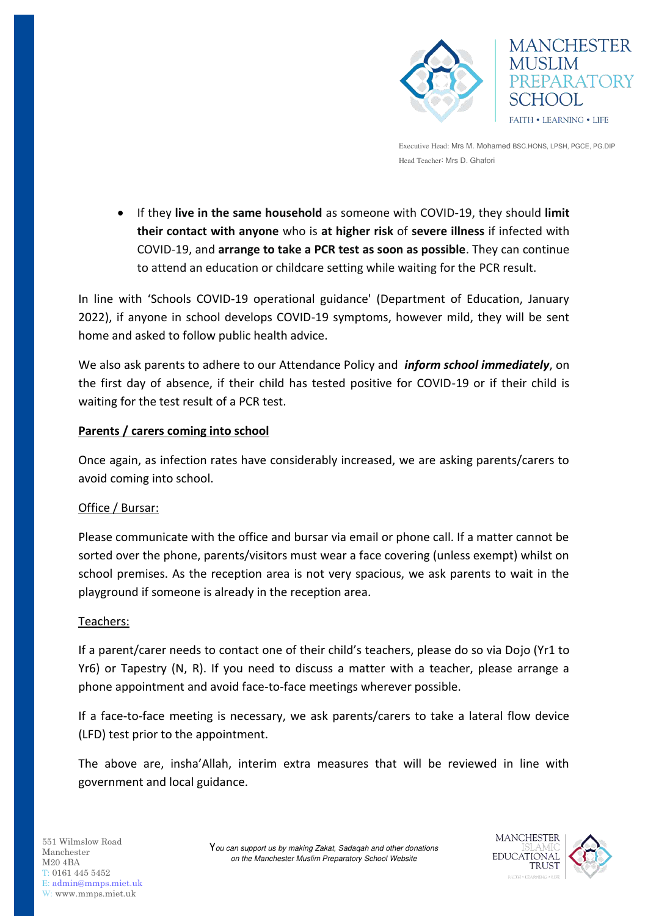



Executive Head: Mrs M. Mohamed BSC.HONS, LPSH, PGCE, PG.DIP Head Teacher: Mrs D. Ghafori

 If they **live in the same household** as someone with COVID-19, they should **limit their contact with anyone** who is **at higher risk** of **severe illness** if infected with COVID-19, and **arrange to take a PCR test as soon as possible**. They can continue to attend an education or childcare setting while waiting for the PCR result.

In line with 'Schools COVID-19 operational guidance' (Department of Education, January 2022), if anyone in school develops COVID-19 symptoms, however mild, they will be sent home and asked to follow public health advice.

We also ask parents to adhere to our Attendance Policy and *inform school immediately*, on the first day of absence, if their child has tested positive for COVID-19 or if their child is waiting for the test result of a PCR test.

# **Parents / carers coming into school**

Once again, as infection rates have considerably increased, we are asking parents/carers to avoid coming into school.

## Office / Bursar:

Please communicate with the office and bursar via email or phone call. If a matter cannot be sorted over the phone, parents/visitors must wear a face covering (unless exempt) whilst on school premises. As the reception area is not very spacious, we ask parents to wait in the playground if someone is already in the reception area.

## Teachers:

If a parent/carer needs to contact one of their child's teachers, please do so via Dojo (Yr1 to Yr6) or Tapestry (N, R). If you need to discuss a matter with a teacher, please arrange a phone appointment and avoid face-to-face meetings wherever possible.

If a face-to-face meeting is necessary, we ask parents/carers to take a lateral flow device (LFD) test prior to the appointment.

The above are, insha'Allah, interim extra measures that will be reviewed in line with government and local guidance.